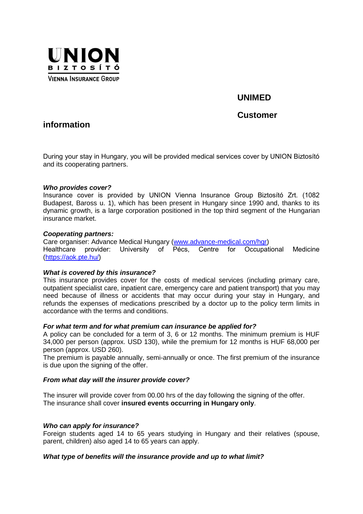

# **UNIMED**

# **Customer**

# **information**

During your stay in Hungary, you will be provided medical services cover by UNION Biztosító and its cooperating partners.

### *Who provides cover?*

Insurance cover is provided by UNION Vienna Insurance Group Biztosító Zrt. (1082 Budapest, Baross u. 1), which has been present in Hungary since 1990 and, thanks to its dynamic growth, is a large corporation positioned in the top third segment of the Hungarian insurance market.

### *Cooperating partners:*

Care organiser: Advance Medical Hungary [\(www.advance-medical.com/hgr\)](http://www.advance-medical.com/hgr) Healthcare provider: University of Pécs, Centre for Occupational Medicine [\(https://aok.pte.hu/\)](https://aok.pte.hu/)

# *What is covered by this insurance?*

This insurance provides cover for the costs of medical services (including primary care, outpatient specialist care, inpatient care, emergency care and patient transport) that you may need because of illness or accidents that may occur during your stay in Hungary, and refunds the expenses of medications prescribed by a doctor up to the policy term limits in accordance with the terms and conditions.

#### *For what term and for what premium can insurance be applied for?*

A policy can be concluded for a term of 3, 6 or 12 months. The minimum premium is HUF 34,000 per person (approx. USD 130), while the premium for 12 months is HUF 68,000 per person (approx. USD 260).

The premium is payable annually, semi-annually or once. The first premium of the insurance is due upon the signing of the offer.

# *From what day will the insurer provide cover?*

The insurer will provide cover from 00.00 hrs of the day following the signing of the offer. The insurance shall cover **insured events occurring in Hungary only**.

# *Who can apply for insurance?*

Foreign students aged 14 to 65 years studying in Hungary and their relatives (spouse, parent, children) also aged 14 to 65 years can apply.

# *What type of benefits will the insurance provide and up to what limit?*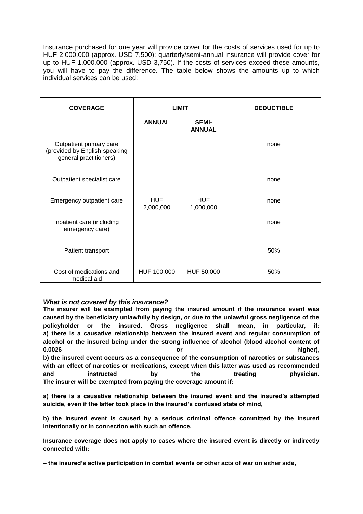Insurance purchased for one year will provide cover for the costs of services used for up to HUF 2,000,000 (approx. USD 7,500); quarterly/semi-annual insurance will provide cover for up to HUF 1,000,000 (approx. USD 3,750). If the costs of services exceed these amounts, you will have to pay the difference. The table below shows the amounts up to which individual services can be used:

| <b>COVERAGE</b>                                                                    | <b>LIMIT</b>            |                               | <b>DEDUCTIBLE</b> |
|------------------------------------------------------------------------------------|-------------------------|-------------------------------|-------------------|
|                                                                                    | <b>ANNUAL</b>           | <b>SEMI-</b><br><b>ANNUAL</b> |                   |
| Outpatient primary care<br>(provided by English-speaking<br>general practitioners) |                         |                               | none              |
| Outpatient specialist care                                                         |                         |                               | none              |
| Emergency outpatient care                                                          | <b>HUF</b><br>2,000,000 | <b>HUF</b><br>1,000,000       | none              |
| Inpatient care (including<br>emergency care)                                       |                         |                               | none              |
| Patient transport                                                                  |                         |                               | 50%               |
| Cost of medications and<br>medical aid                                             | HUF 100,000             | HUF 50,000                    | 50%               |

# *What is not covered by this insurance?*

**The insurer will be exempted from paying the insured amount if the insurance event was caused by the beneficiary unlawfully by design, or due to the unlawful gross negligence of the policyholder or the insured. Gross negligence shall mean, in particular, if: a) there is a causative relationship between the insured event and regular consumption of alcohol or the insured being under the strong influence of alcohol (blood alcohol content of 0.0026 or higher), b) the insured event occurs as a consequence of the consumption of narcotics or substances with an effect of narcotics or medications, except when this latter was used as recommended and instructed by the treating physician. The insurer will be exempted from paying the coverage amount if:**

**a) there is a causative relationship between the insured event and the insured's attempted suicide, even if the latter took place in the insured's confused state of mind,**

**b) the insured event is caused by a serious criminal offence committed by the insured intentionally or in connection with such an offence.** 

**Insurance coverage does not apply to cases where the insured event is directly or indirectly connected with:**

**– the insured's active participation in combat events or other acts of war on either side,**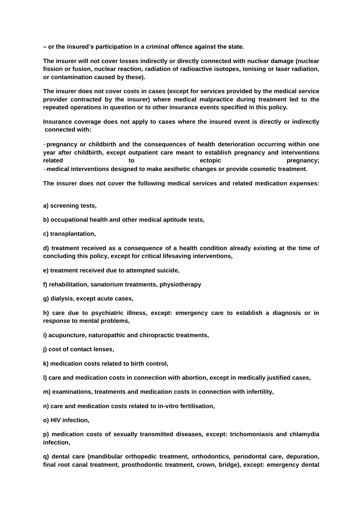**– or the insured's participation in a criminal offence against the state.**

**The insurer will not cover losses indirectly or directly connected with nuclear damage (nuclear fission or fusion, nuclear reaction, radiation of radioactive isotopes, ionising or laser radiation, or contamination caused by these).**

**The insurer does not cover costs in cases (except for services provided by the medical service provider contracted by the insurer) where medical malpractice during treatment led to the repeated operations in question or to other insurance events specified in this policy.**

**Insurance coverage does not apply to cases where the insured event is directly or indirectly connected with:**

**pregnancy or childbirth and the consequences of health deterioration occurring within one year after childbirth, except outpatient care meant to establish pregnancy and interventions related to ectopic pregnancy; medical interventions designed to make aesthetic changes or provide cosmetic treatment.**

**The insurer does not cover the following medical services and related medication expenses:**

**a) screening tests,**

**b) occupational health and other medical aptitude tests,**

**c) transplantation,**

**d) treatment received as a consequence of a health condition already existing at the time of concluding this policy, except for critical lifesaving interventions,**

**e) treatment received due to attempted suicide,**

**f) rehabilitation, sanatorium treatments, physiotherapy**

**g) dialysis, except acute cases,**

**h) care due to psychiatric illness, except: emergency care to establish a diagnosis or in response to mental problems,**

**i) acupuncture, naturopathic and chiropractic treatments,**

**j) cost of contact lenses,**

**k) medication costs related to birth control,**

**l) care and medication costs in connection with abortion, except in medically justified cases,**

**m) examinations, treatments and medication costs in connection with infertility,**

**n) care and medication costs related to in-vitro fertilisation,**

**o) HIV infection,**

**p) medication costs of sexually transmitted diseases, except: trichomoniasis and chlamydia infection,**

**q) dental care (mandibular orthopedic treatment, orthodontics, periodontal care, depuration, final root canal treatment, prosthodontic treatment, crown, bridge), except: emergency dental**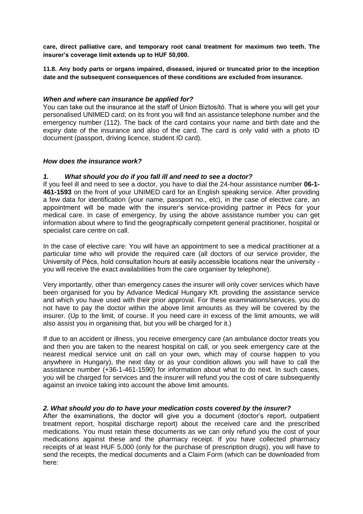**care, direct palliative care, and temporary root canal treatment for maximum two teeth. The insurer's coverage limit extends up to HUF 50,000.**

**11.8. Any body parts or organs impaired, diseased, injured or truncated prior to the inception date and the subsequent consequences of these conditions are excluded from insurance.**

### *When and where can insurance be applied for?*

You can take out the insurance at the staff of Union Biztosító. That is where you will get your personalised UNIMED card; on its front you will find an assistance telephone number and the emergency number (112). The back of the card contains your name and birth date and the expiry date of the insurance and also of the card. The card is only valid with a photo ID document (passport, driving licence, student ID card).

### *How does the insurance work?*

### *1. What should you do if you fall ill and need to see a doctor?*

If you feel ill and need to see a doctor, you have to dial the 24-hour assistance number **06-1- 461-1593** on the front of your UNIMED card for an English speaking service. After providing a few data for identification (your name, passport no., etc), in the case of elective care, an appointment will be made with the insurer's service-providing partner in Pécs for your medical care. In case of emergency, by using the above assistance number you can get information about where to find the geographically competent general practitioner, hospital or specialist care centre on call.

In the case of elective care: You will have an appointment to see a medical practitioner at a particular time who will provide the required care (all doctors of our service provider, the University of Pécs, hold consultation hours at easily accessible locations near the university you will receive the exact availabilities from the care organiser by telephone).

Very importantly, other than emergency cases the insurer will only cover services which have been organised for you by Advance Medical Hungary Kft. providing the assistance service and which you have used with their prior approval. For these examinations/services, you do not have to pay the doctor within the above limit amounts as they will be covered by the insurer. (Up to the limit, of course. If you need care in excess of the limit amounts, we will also assist you in organising that, but you will be charged for it.)

If due to an accident or illness, you receive emergency care (an ambulance doctor treats you and then you are taken to the nearest hospital on call, or you seek emergency care at the nearest medical service unit on call on your own, which may of course happen to you anywhere in Hungary), the next day or as your condition allows you will have to call the assistance number (+36-1-461-1590) for information about what to do next. In such cases, you will be charged for services and the insurer will refund you the cost of care subsequently against an invoice taking into account the above limit amounts.

# *2. What should you do to have your medication costs covered by the insurer?*

After the examinations, the doctor will give you a document (doctor's report, outpatient treatment report, hospital discharge report) about the received care and the prescribed medications. You must retain these documents as we can only refund you the cost of your medications against these and the pharmacy receipt. If you have collected pharmacy receipts of at least HUF 5,000 (only for the purchase of prescription drugs), you will have to send the receipts, the medical documents and a Claim Form (which can be downloaded from here: